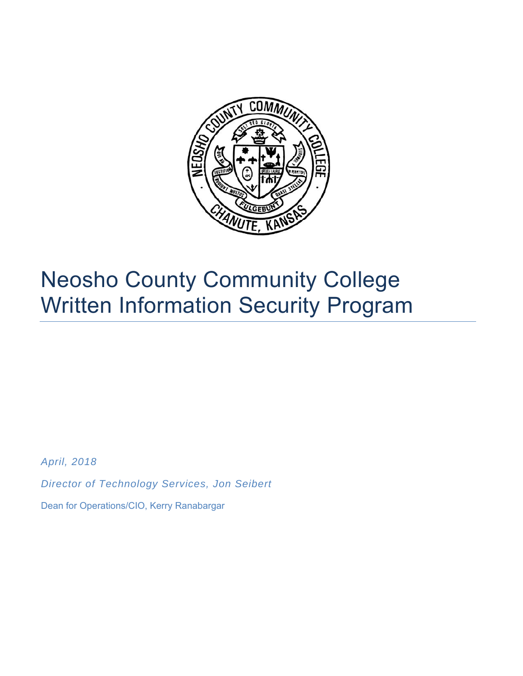

# Neosho County Community College Written Information Security Program

*April, 2018* 

*Director of Technology Services, Jon Seibert* 

Dean for Operations/CIO, Kerry Ranabargar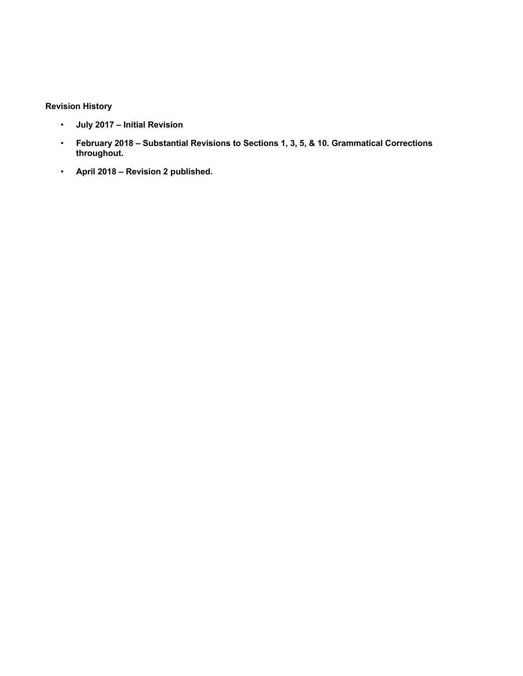## **Revision History**

- **July 2017 Initial Revision**
- **February 2018 Substantial Revisions to Sections 1, 3, 5, & 10. Grammatical Corrections throughout.**
- **April 2018 Revision 2 published.**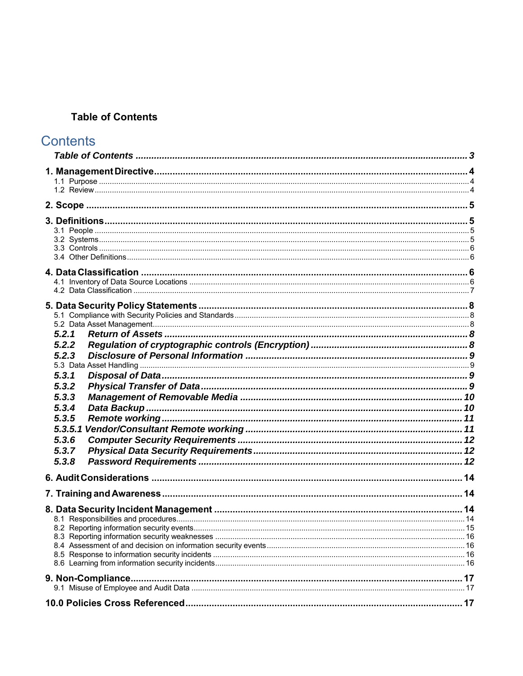## **Table of Contents**

## **Contents**

| 5.2.1   |  |
|---------|--|
| 5.2.2   |  |
| 5.2.3   |  |
|         |  |
| 5.3.1   |  |
| 5.3.2   |  |
| 5.3.3   |  |
| 5.3.4   |  |
| 5.3.5   |  |
| 5.3.5.1 |  |
| 5.3.6   |  |
| 5.3.7   |  |
| 5.3.8   |  |
|         |  |
|         |  |
|         |  |
|         |  |
|         |  |
|         |  |
|         |  |
|         |  |
|         |  |
|         |  |
|         |  |
|         |  |
|         |  |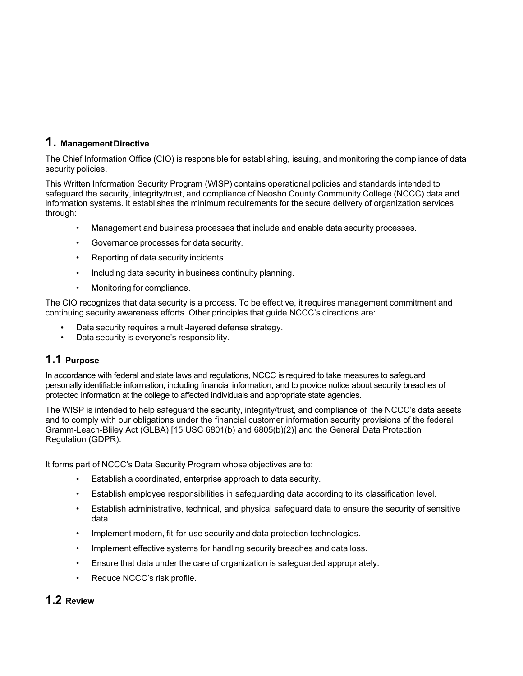## **1. Management Directive**

The Chief Information Office (CIO) is responsible for establishing, issuing, and monitoring the compliance of data security policies.

This Written Information Security Program (WISP) contains operational policies and standards intended to safeguard the security, integrity/trust, and compliance of Neosho County Community College (NCCC) data and information systems. It establishes the minimum requirements for the secure delivery of organization services through:

- Management and business processes that include and enable data security processes.
- Governance processes for data security.
- Reporting of data security incidents.
- Including data security in business continuity planning.
- Monitoring for compliance.

The CIO recognizes that data security is a process. To be effective, it requires management commitment and continuing security awareness efforts. Other principles that guide NCCC's directions are:

- Data security requires a multi-layered defense strategy.
- Data security is everyone's responsibility.

## **1.1 Purpose**

In accordance with federal and state laws and regulations, NCCC is required to take measures to safeguard personally identifiable information, including financial information, and to provide notice about security breaches of protected information at the college to affected individuals and appropriate state agencies.

The WISP is intended to help safeguard the security, integrity/trust, and compliance of the NCCC's data assets and to comply with our obligations under the financial customer information security provisions of the federal Gramm-Leach-Bliley Act (GLBA) [15 USC 6801(b) and 6805(b)(2)] and the General Data Protection Regulation (GDPR).

It forms part of NCCC's Data Security Program whose objectives are to:

- Establish a coordinated, enterprise approach to data security.
- Establish employee responsibilities in safeguarding data according to its classification level.
- Establish administrative, technical, and physical safeguard data to ensure the security of sensitive data.
- Implement modern, fit-for-use security and data protection technologies.
- Implement effective systems for handling security breaches and data loss.
- Ensure that data under the care of organization is safeguarded appropriately.
- Reduce NCCC's risk profile.

## **1.2 Review**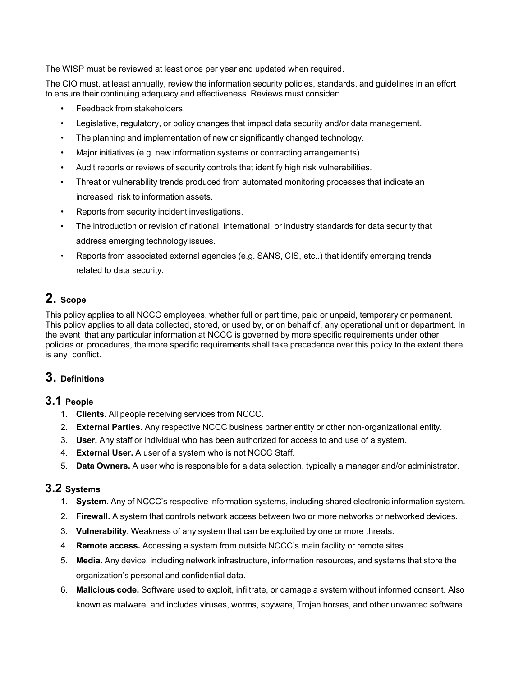The WISP must be reviewed at least once per year and updated when required.

The CIO must, at least annually, review the information security policies, standards, and guidelines in an effort to ensure their continuing adequacy and effectiveness. Reviews must consider:

- Feedback from stakeholders.
- Legislative, regulatory, or policy changes that impact data security and/or data management.
- The planning and implementation of new or significantly changed technology.
- Major initiatives (e.g. new information systems or contracting arrangements).
- Audit reports or reviews of security controls that identify high risk vulnerabilities.
- Threat or vulnerability trends produced from automated monitoring processes that indicate an increased risk to information assets.
- Reports from security incident investigations.
- The introduction or revision of national, international, or industry standards for data security that address emerging technology issues.
- Reports from associated external agencies (e.g. SANS, CIS, etc..) that identify emerging trends related to data security.

## **2. Scope**

This policy applies to all NCCC employees, whether full or part time, paid or unpaid, temporary or permanent. This policy applies to all data collected, stored, or used by, or on behalf of, any operational unit or department. In the event that any particular information at NCCC is governed by more specific requirements under other policies or procedures, the more specific requirements shall take precedence over this policy to the extent there is any conflict.

## **3. Definitions**

## **3.1 People**

- 1. **Clients.** All people receiving services from NCCC.
- 2. **External Parties.** Any respective NCCC business partner entity or other non-organizational entity.
- 3. **User.** Any staff or individual who has been authorized for access to and use of a system.
- 4. **External User.** A user of a system who is not NCCC Staff.
- 5. **Data Owners.** A user who is responsible for a data selection, typically a manager and/or administrator.

## **3.2 Systems**

- 1. **System.** Any of NCCC's respective information systems, including shared electronic information system.
- 2. **Firewall.** A system that controls network access between two or more networks or networked devices.
- 3. **Vulnerability.** Weakness of any system that can be exploited by one or more threats.
- 4. **Remote access.** Accessing a system from outside NCCC's main facility or remote sites.
- 5. **Media.** Any device, including network infrastructure, information resources, and systems that store the organization's personal and confidential data.
- 6. **Malicious code.** Software used to exploit, infiltrate, or damage a system without informed consent. Also known as malware, and includes viruses, worms, spyware, Trojan horses, and other unwanted software.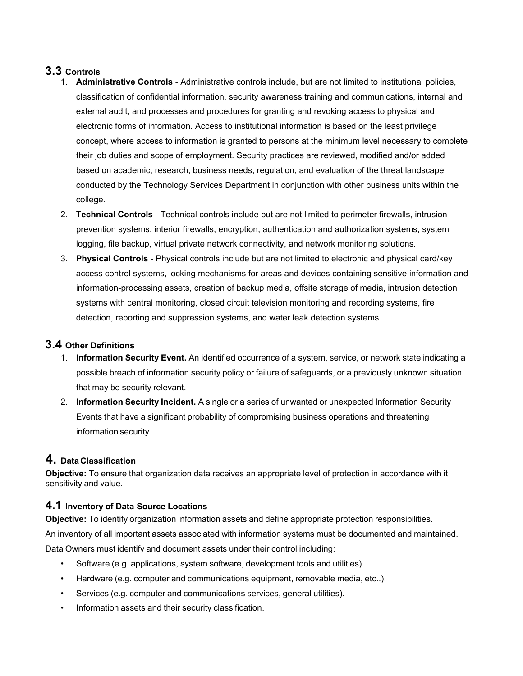## **3.3 Controls**

- 1. **Administrative Controls** Administrative controls include, but are not limited to institutional policies, classification of confidential information, security awareness training and communications, internal and external audit, and processes and procedures for granting and revoking access to physical and electronic forms of information. Access to institutional information is based on the least privilege concept, where access to information is granted to persons at the minimum level necessary to complete their job duties and scope of employment. Security practices are reviewed, modified and/or added based on academic, research, business needs, regulation, and evaluation of the threat landscape conducted by the Technology Services Department in conjunction with other business units within the college.
- 2. **Technical Controls** Technical controls include but are not limited to perimeter firewalls, intrusion prevention systems, interior firewalls, encryption, authentication and authorization systems, system logging, file backup, virtual private network connectivity, and network monitoring solutions.
- 3. **Physical Controls** Physical controls include but are not limited to electronic and physical card/key access control systems, locking mechanisms for areas and devices containing sensitive information and information-processing assets, creation of backup media, offsite storage of media, intrusion detection systems with central monitoring, closed circuit television monitoring and recording systems, fire detection, reporting and suppression systems, and water leak detection systems.

## **3.4 Other Definitions**

- 1. **Information Security Event.** An identified occurrence of a system, service, or network state indicating a possible breach of information security policy or failure of safeguards, or a previously unknown situation that may be security relevant.
- 2. **Information Security Incident.** A single or a series of unwanted or unexpected Information Security Events that have a significant probability of compromising business operations and threatening information security.

## **4. Data Classification**

**Objective:** To ensure that organization data receives an appropriate level of protection in accordance with it sensitivity and value.

## **4.1 Inventory of Data Source Locations**

**Objective:** To identify organization information assets and define appropriate protection responsibilities.

An inventory of all important assets associated with information systems must be documented and maintained. Data Owners must identify and document assets under their control including:

- Software (e.g. applications, system software, development tools and utilities).
- Hardware (e.g. computer and communications equipment, removable media, etc..).
- Services (e.g. computer and communications services, general utilities).
- Information assets and their security classification.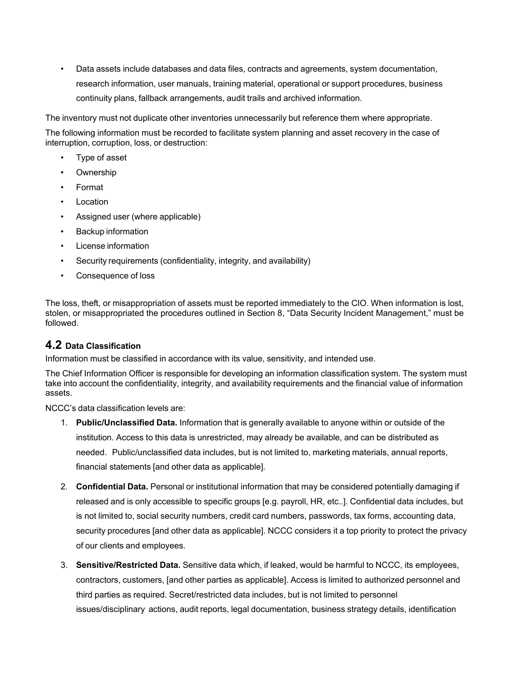• Data assets include databases and data files, contracts and agreements, system documentation, research information, user manuals, training material, operational or support procedures, business continuity plans, fallback arrangements, audit trails and archived information.

The inventory must not duplicate other inventories unnecessarily but reference them where appropriate.

The following information must be recorded to facilitate system planning and asset recovery in the case of interruption, corruption, loss, or destruction:

- Type of asset
- **Ownership**
- Format
- **Location**
- Assigned user (where applicable)
- Backup information
- License information
- Security requirements (confidentiality, integrity, and availability)
- Consequence of loss

The loss, theft, or misappropriation of assets must be reported immediately to the CIO. When information is lost, stolen, or misappropriated the procedures outlined in Section 8, "Data Security Incident Management," must be followed.

#### **4.2 Data Classification**

Information must be classified in accordance with its value, sensitivity, and intended use.

The Chief Information Officer is responsible for developing an information classification system. The system must take into account the confidentiality, integrity, and availability requirements and the financial value of information assets.

NCCC's data classification levels are:

- 1. **Public/Unclassified Data.** Information that is generally available to anyone within or outside of the institution. Access to this data is unrestricted, may already be available, and can be distributed as needed. Public/unclassified data includes, but is not limited to, marketing materials, annual reports, financial statements [and other data as applicable].
- 2. **Confidential Data.** Personal or institutional information that may be considered potentially damaging if released and is only accessible to specific groups [e.g. payroll, HR, etc..]. Confidential data includes, but is not limited to, social security numbers, credit card numbers, passwords, tax forms, accounting data, security procedures [and other data as applicable]. NCCC considers it a top priority to protect the privacy of our clients and employees.
- 3. **Sensitive/Restricted Data.** Sensitive data which, if leaked, would be harmful to NCCC, its employees, contractors, customers, [and other parties as applicable]. Access is limited to authorized personnel and third parties as required. Secret/restricted data includes, but is not limited to personnel issues/disciplinary actions, audit reports, legal documentation, business strategy details, identification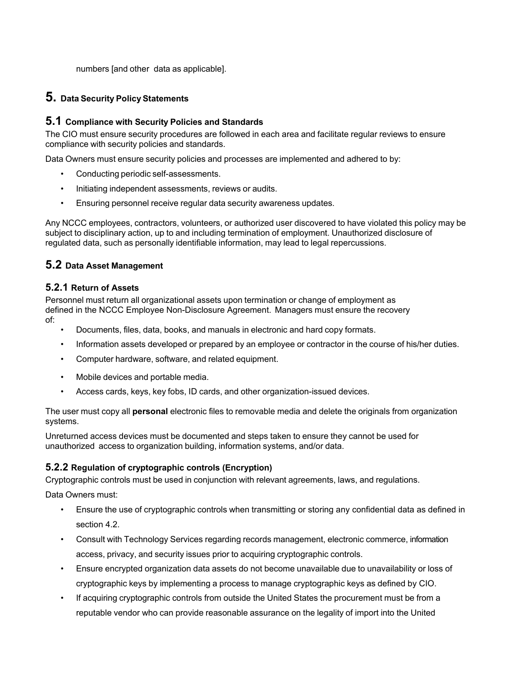numbers [and other data as applicable].

## **5. Data Security Policy Statements**

## **5.1 Compliance with Security Policies and Standards**

The CIO must ensure security procedures are followed in each area and facilitate regular reviews to ensure compliance with security policies and standards.

Data Owners must ensure security policies and processes are implemented and adhered to by:

- Conducting periodic self-assessments.
- Initiating independent assessments, reviews or audits.
- Ensuring personnel receive regular data security awareness updates.

Any NCCC employees, contractors, volunteers, or authorized user discovered to have violated this policy may be subject to disciplinary action, up to and including termination of employment. Unauthorized disclosure of regulated data, such as personally identifiable information, may lead to legal repercussions.

## **5.2 Data Asset Management**

#### **5.2.1 Return of Assets**

Personnel must return all organizational assets upon termination or change of employment as defined in the NCCC Employee Non-Disclosure Agreement. Managers must ensure the recovery of:

- Documents, files, data, books, and manuals in electronic and hard copy formats.
- Information assets developed or prepared by an employee or contractor in the course of his/her duties.
- Computer hardware, software, and related equipment.
- Mobile devices and portable media.
- Access cards, keys, key fobs, ID cards, and other organization-issued devices.

The user must copy all **personal** electronic files to removable media and delete the originals from organization systems.

Unreturned access devices must be documented and steps taken to ensure they cannot be used for unauthorized access to organization building, information systems, and/or data.

## **5.2.2 Regulation of cryptographic controls (Encryption)**

Cryptographic controls must be used in conjunction with relevant agreements, laws, and regulations.

Data Owners must:

- Ensure the use of cryptographic controls when transmitting or storing any confidential data as defined in section 4.2.
- Consult with Technology Services regarding records management, electronic commerce, information access, privacy, and security issues prior to acquiring cryptographic controls.
- Ensure encrypted organization data assets do not become unavailable due to unavailability or loss of cryptographic keys by implementing a process to manage cryptographic keys as defined by CIO.
- If acquiring cryptographic controls from outside the United States the procurement must be from a reputable vendor who can provide reasonable assurance on the legality of import into the United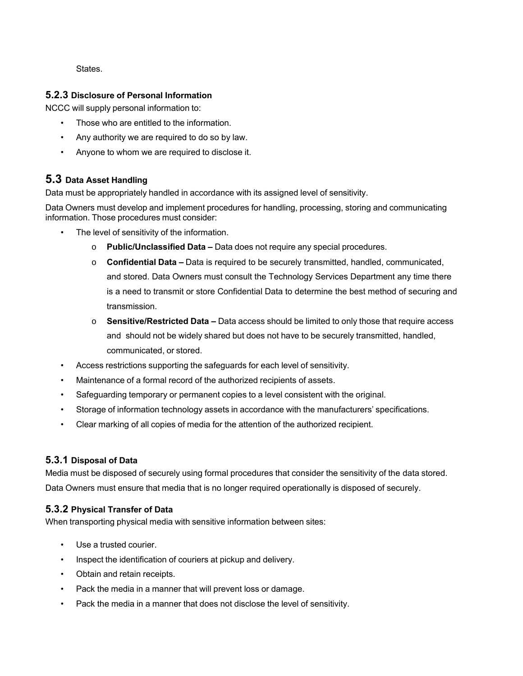**States** 

#### **5.2.3 Disclosure of Personal Information**

NCCC will supply personal information to:

- Those who are entitled to the information.
- Any authority we are required to do so by law.
- Anyone to whom we are required to disclose it.

## **5.3 Data Asset Handling**

Data must be appropriately handled in accordance with its assigned level of sensitivity.

Data Owners must develop and implement procedures for handling, processing, storing and communicating information. Those procedures must consider:

- The level of sensitivity of the information.
	- o **Public/Unclassified Data** Data does not require any special procedures.
	- o **Confidential Data** Data is required to be securely transmitted, handled, communicated, and stored. Data Owners must consult the Technology Services Department any time there is a need to transmit or store Confidential Data to determine the best method of securing and transmission.
	- o **Sensitive/Restricted Data** Data access should be limited to only those that require access and should not be widely shared but does not have to be securely transmitted, handled, communicated, or stored.
- Access restrictions supporting the safeguards for each level of sensitivity.
- Maintenance of a formal record of the authorized recipients of assets.
- Safeguarding temporary or permanent copies to a level consistent with the original.
- Storage of information technology assets in accordance with the manufacturers' specifications.
- Clear marking of all copies of media for the attention of the authorized recipient.

## **5.3.1 Disposal of Data**

Media must be disposed of securely using formal procedures that consider the sensitivity of the data stored. Data Owners must ensure that media that is no longer required operationally is disposed of securely.

## **5.3.2 Physical Transfer of Data**

When transporting physical media with sensitive information between sites:

- Use a trusted courier.
- Inspect the identification of couriers at pickup and delivery.
- Obtain and retain receipts.
- Pack the media in a manner that will prevent loss or damage.
- Pack the media in a manner that does not disclose the level of sensitivity.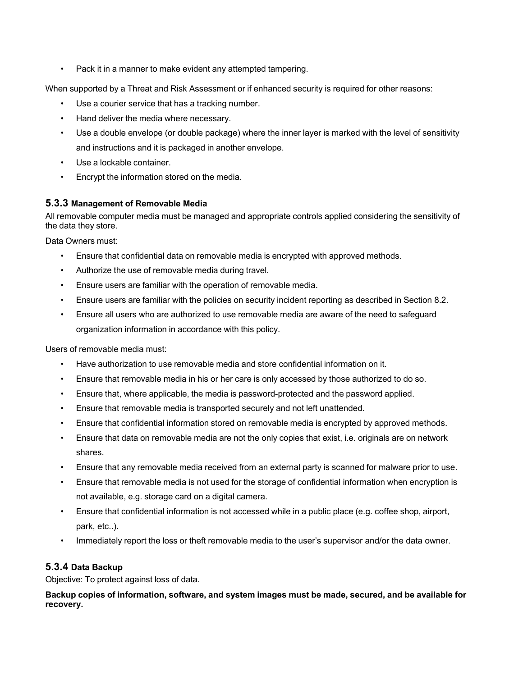• Pack it in a manner to make evident any attempted tampering.

When supported by a Threat and Risk Assessment or if enhanced security is required for other reasons:

- Use a courier service that has a tracking number.
- Hand deliver the media where necessary.
- Use a double envelope (or double package) where the inner layer is marked with the level of sensitivity and instructions and it is packaged in another envelope.
- Use a lockable container.
- Encrypt the information stored on the media.

## **5.3.3 Management of Removable Media**

All removable computer media must be managed and appropriate controls applied considering the sensitivity of the data they store.

Data Owners must:

- Ensure that confidential data on removable media is encrypted with approved methods.
- Authorize the use of removable media during travel.
- Ensure users are familiar with the operation of removable media.
- Ensure users are familiar with the policies on security incident reporting as described in Section 8.2.
- Ensure all users who are authorized to use removable media are aware of the need to safeguard organization information in accordance with this policy.

Users of removable media must:

- Have authorization to use removable media and store confidential information on it.
- Ensure that removable media in his or her care is only accessed by those authorized to do so.
- Ensure that, where applicable, the media is password-protected and the password applied.
- Ensure that removable media is transported securely and not left unattended.
- Ensure that confidential information stored on removable media is encrypted by approved methods.
- Ensure that data on removable media are not the only copies that exist, i.e. originals are on network shares.
- Ensure that any removable media received from an external party is scanned for malware prior to use.
- Ensure that removable media is not used for the storage of confidential information when encryption is not available, e.g. storage card on a digital camera.
- Ensure that confidential information is not accessed while in a public place (e.g. coffee shop, airport, park, etc..).
- Immediately report the loss or theft removable media to the user's supervisor and/or the data owner.

## **5.3.4 Data Backup**

Objective: To protect against loss of data.

**Backup copies of information, software, and system images must be made, secured, and be available for recovery.**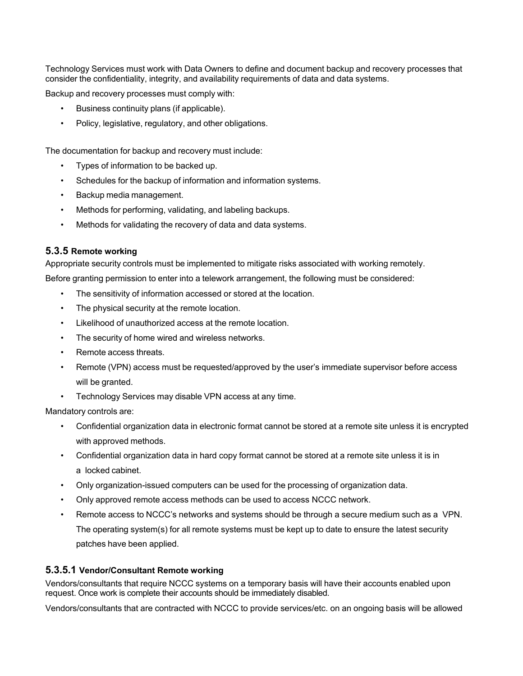Technology Services must work with Data Owners to define and document backup and recovery processes that consider the confidentiality, integrity, and availability requirements of data and data systems.

Backup and recovery processes must comply with:

- Business continuity plans (if applicable).
- Policy, legislative, regulatory, and other obligations.

The documentation for backup and recovery must include:

- Types of information to be backed up.
- Schedules for the backup of information and information systems.
- Backup media management.
- Methods for performing, validating, and labeling backups.
- Methods for validating the recovery of data and data systems.

#### **5.3.5 Remote working**

Appropriate security controls must be implemented to mitigate risks associated with working remotely.

Before granting permission to enter into a telework arrangement, the following must be considered:

- The sensitivity of information accessed or stored at the location.
- The physical security at the remote location.
- Likelihood of unauthorized access at the remote location.
- The security of home wired and wireless networks.
- Remote access threats.
- Remote (VPN) access must be requested/approved by the user's immediate supervisor before access will be granted.
- Technology Services may disable VPN access at any time.

Mandatory controls are:

- Confidential organization data in electronic format cannot be stored at a remote site unless it is encrypted with approved methods.
- Confidential organization data in hard copy format cannot be stored at a remote site unless it is in a locked cabinet.
- Only organization-issued computers can be used for the processing of organization data.
- Only approved remote access methods can be used to access NCCC network.
- Remote access to NCCC's networks and systems should be through a secure medium such as a VPN. The operating system(s) for all remote systems must be kept up to date to ensure the latest security patches have been applied.

#### **5.3.5.1 Vendor/Consultant Remote working**

Vendors/consultants that require NCCC systems on a temporary basis will have their accounts enabled upon request. Once work is complete their accounts should be immediately disabled.

Vendors/consultants that are contracted with NCCC to provide services/etc. on an ongoing basis will be allowed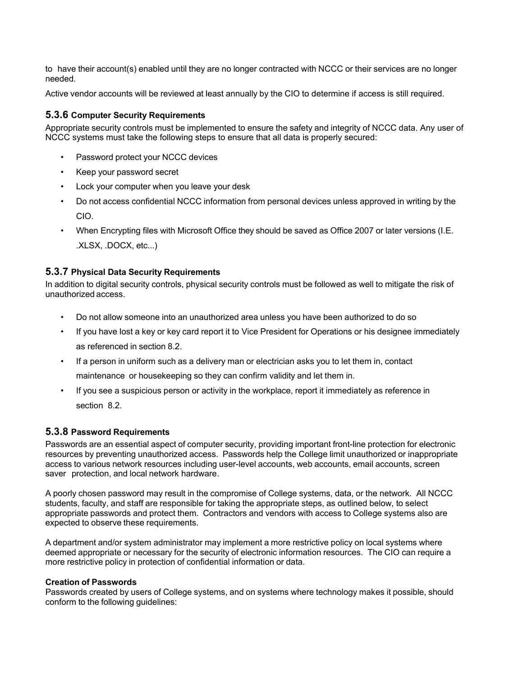to have their account(s) enabled until they are no longer contracted with NCCC or their services are no longer needed.

Active vendor accounts will be reviewed at least annually by the CIO to determine if access is still required.

#### **5.3.6 Computer Security Requirements**

Appropriate security controls must be implemented to ensure the safety and integrity of NCCC data. Any user of NCCC systems must take the following steps to ensure that all data is properly secured:

- Password protect your NCCC devices
- Keep your password secret
- Lock your computer when you leave your desk
- Do not access confidential NCCC information from personal devices unless approved in writing by the CIO.
- When Encrypting files with Microsoft Office they should be saved as Office 2007 or later versions (I.E. .XLSX, .DOCX, etc...)

#### **5.3.7 Physical Data Security Requirements**

In addition to digital security controls, physical security controls must be followed as well to mitigate the risk of unauthorized access.

- Do not allow someone into an unauthorized area unless you have been authorized to do so
- If you have lost a key or key card report it to Vice President for Operations or his designee immediately as referenced in section 8.2.
- If a person in uniform such as a delivery man or electrician asks you to let them in, contact maintenance or housekeeping so they can confirm validity and let them in.
- If you see a suspicious person or activity in the workplace, report it immediately as reference in section 8.2.

#### **5.3.8 Password Requirements**

Passwords are an essential aspect of computer security, providing important front-line protection for electronic resources by preventing unauthorized access. Passwords help the College limit unauthorized or inappropriate access to various network resources including user-level accounts, web accounts, email accounts, screen saver protection, and local network hardware.

A poorly chosen password may result in the compromise of College systems, data, or the network. All NCCC students, faculty, and staff are responsible for taking the appropriate steps, as outlined below, to select appropriate passwords and protect them. Contractors and vendors with access to College systems also are expected to observe these requirements.

A department and/or system administrator may implement a more restrictive policy on local systems where deemed appropriate or necessary for the security of electronic information resources. The CIO can require a more restrictive policy in protection of confidential information or data.

#### **Creation of Passwords**

Passwords created by users of College systems, and on systems where technology makes it possible, should conform to the following guidelines: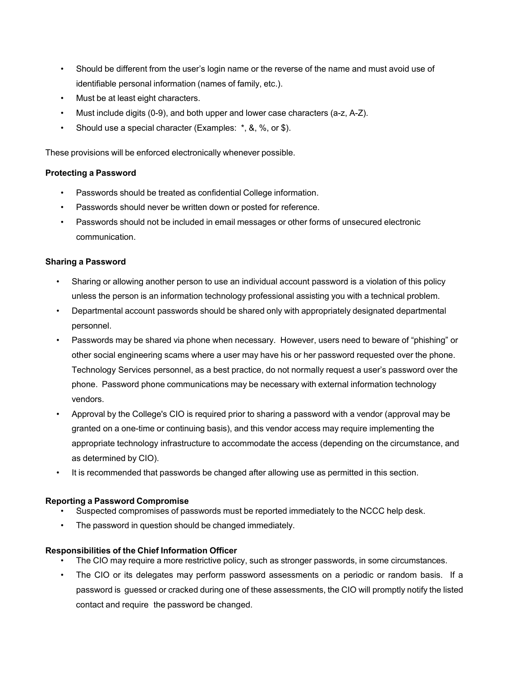- Should be different from the user's login name or the reverse of the name and must avoid use of identifiable personal information (names of family, etc.).
- Must be at least eight characters.
- Must include digits (0-9), and both upper and lower case characters (a-z, A-Z).
- Should use a special character (Examples: \*, &, %, or \$).

These provisions will be enforced electronically whenever possible.

#### **Protecting a Password**

- Passwords should be treated as confidential College information.
- Passwords should never be written down or posted for reference.
- Passwords should not be included in email messages or other forms of unsecured electronic communication.

#### **Sharing a Password**

- Sharing or allowing another person to use an individual account password is a violation of this policy unless the person is an information technology professional assisting you with a technical problem.
- Departmental account passwords should be shared only with appropriately designated departmental personnel.
- Passwords may be shared via phone when necessary. However, users need to beware of "phishing" or other social engineering scams where a user may have his or her password requested over the phone. Technology Services personnel, as a best practice, do not normally request a user's password over the phone. Password phone communications may be necessary with external information technology vendors.
- Approval by the College's CIO is required prior to sharing a password with a vendor (approval may be granted on a one-time or continuing basis), and this vendor access may require implementing the appropriate technology infrastructure to accommodate the access (depending on the circumstance, and as determined by CIO).
- It is recommended that passwords be changed after allowing use as permitted in this section.

#### **Reporting a Password Compromise**

- Suspected compromises of passwords must be reported immediately to the NCCC help desk.
- The password in question should be changed immediately.

#### **Responsibilities of the Chief Information Officer**

- The CIO may require a more restrictive policy, such as stronger passwords, in some circumstances.
- The CIO or its delegates may perform password assessments on a periodic or random basis. If a password is guessed or cracked during one of these assessments, the CIO will promptly notify the listed contact and require the password be changed.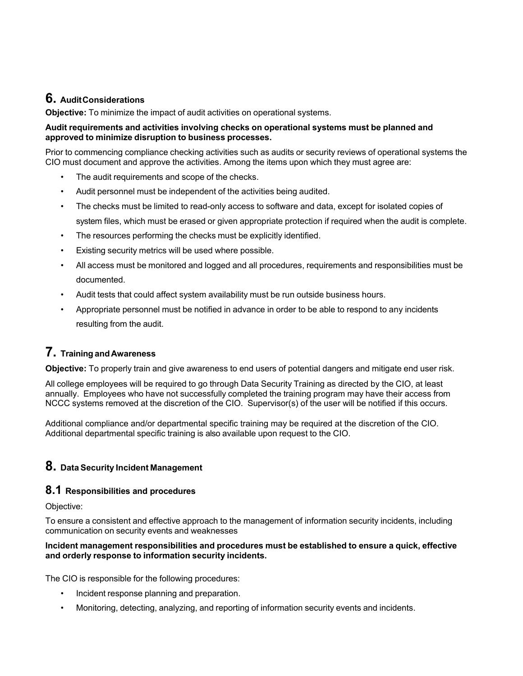## **6. Audit Considerations**

**Objective:** To minimize the impact of audit activities on operational systems.

#### **Audit requirements and activities involving checks on operational systems must be planned and approved to minimize disruption to business processes.**

Prior to commencing compliance checking activities such as audits or security reviews of operational systems the CIO must document and approve the activities. Among the items upon which they must agree are:

- The audit requirements and scope of the checks.
- Audit personnel must be independent of the activities being audited.
- The checks must be limited to read-only access to software and data, except for isolated copies of system files, which must be erased or given appropriate protection if required when the audit is complete.
- The resources performing the checks must be explicitly identified.
- Existing security metrics will be used where possible.
- All access must be monitored and logged and all procedures, requirements and responsibilities must be documented.
- Audit tests that could affect system availability must be run outside business hours.
- Appropriate personnel must be notified in advance in order to be able to respond to any incidents resulting from the audit.

## **7. Training and Awareness**

**Objective:** To properly train and give awareness to end users of potential dangers and mitigate end user risk.

All college employees will be required to go through Data Security Training as directed by the CIO, at least annually. Employees who have not successfully completed the training program may have their access from NCCC systems removed at the discretion of the CIO. Supervisor(s) of the user will be notified if this occurs.

Additional compliance and/or departmental specific training may be required at the discretion of the CIO. Additional departmental specific training is also available upon request to the CIO.

## **8. Data Security Incident Management**

#### **8.1 Responsibilities and procedures**

Objective:

To ensure a consistent and effective approach to the management of information security incidents, including communication on security events and weaknesses

#### **Incident management responsibilities and procedures must be established to ensure a quick, effective and orderly response to information security incidents.**

The CIO is responsible for the following procedures:

- Incident response planning and preparation.
- Monitoring, detecting, analyzing, and reporting of information security events and incidents.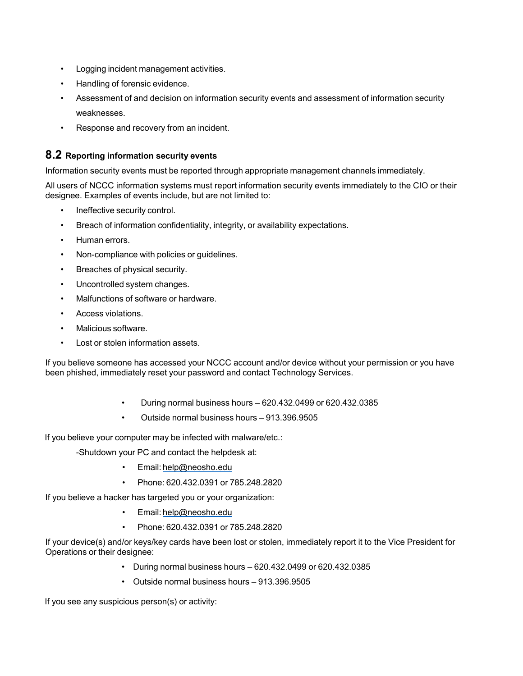- Logging incident management activities.
- Handling of forensic evidence.
- Assessment of and decision on information security events and assessment of information security weaknesses.
- Response and recovery from an incident.

## **8.2 Reporting information security events**

Information security events must be reported through appropriate management channels immediately.

All users of NCCC information systems must report information security events immediately to the CIO or their designee. Examples of events include, but are not limited to:

- Ineffective security control.
- Breach of information confidentiality, integrity, or availability expectations.
- Human errors.
- Non-compliance with policies or guidelines.
- Breaches of physical security.
- Uncontrolled system changes.
- Malfunctions of software or hardware.
- Access violations.
- Malicious software.
- Lost or stolen information assets.

If you believe someone has accessed your NCCC account and/or device without your permission or you have been phished, immediately reset your password and contact Technology Services.

- During normal business hours 620.432.0499 or 620.432.0385
- Outside normal business hours 913.396.9505

If you believe your computer may be infected with malware/etc.:

-Shutdown your PC and contact the helpdesk at:

- Email: help@neosho.edu
- Phone: 620.432.0391 or 785.248.2820

If you believe a hacker has targeted you or your organization:

- Email: help@neosho.edu
- Phone: 620.432.0391 or 785.248.2820

If your device(s) and/or keys/key cards have been lost or stolen, immediately report it to the Vice President for Operations or their designee:

- During normal business hours 620.432.0499 or 620.432.0385
- Outside normal business hours 913.396.9505

If you see any suspicious person(s) or activity: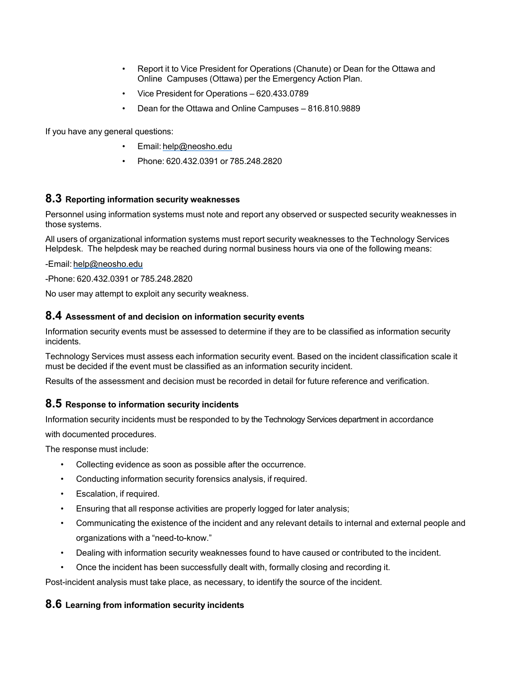- Report it to Vice President for Operations (Chanute) or Dean for the Ottawa and Online Campuses (Ottawa) per the Emergency Action Plan.
- Vice President for Operations 620.433.0789
- Dean for the Ottawa and Online Campuses 816.810.9889

If you have any general questions:

- Email: help@neosho.edu
- Phone: 620.432.0391 or 785.248.2820

#### **8.3 Reporting information security weaknesses**

Personnel using information systems must note and report any observed or suspected security weaknesses in those systems.

All users of organizational information systems must report security weaknesses to the Technology Services Helpdesk. The helpdesk may be reached during normal business hours via one of the following means:

-Email: help@neosho.edu

-Phone: 620.432.0391 or 785.248.2820

No user may attempt to exploit any security weakness.

#### **8.4 Assessment of and decision on information security events**

Information security events must be assessed to determine if they are to be classified as information security incidents.

Technology Services must assess each information security event. Based on the incident classification scale it must be decided if the event must be classified as an information security incident.

Results of the assessment and decision must be recorded in detail for future reference and verification.

#### **8.5 Response to information security incidents**

Information security incidents must be responded to by the Technology Services department in accordance

with documented procedures.

The response must include:

- Collecting evidence as soon as possible after the occurrence.
- Conducting information security forensics analysis, if required.
- Escalation, if required.
- Ensuring that all response activities are properly logged for later analysis;
- Communicating the existence of the incident and any relevant details to internal and external people and organizations with a "need-to-know."
- Dealing with information security weaknesses found to have caused or contributed to the incident.
- Once the incident has been successfully dealt with, formally closing and recording it.

Post-incident analysis must take place, as necessary, to identify the source of the incident.

#### **8.6 Learning from information security incidents**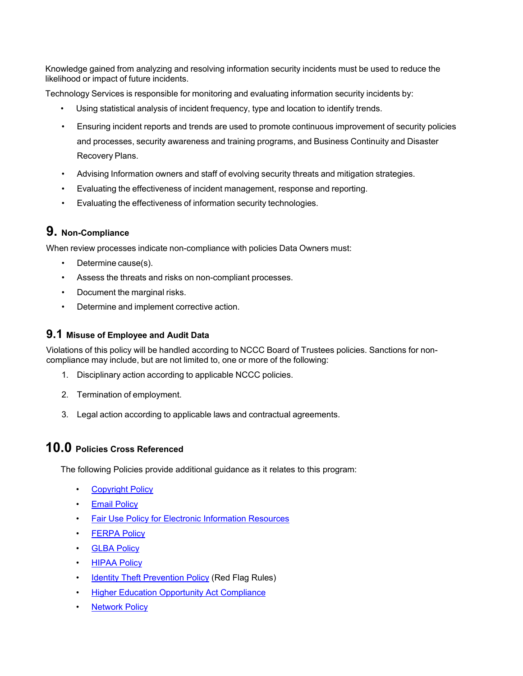Knowledge gained from analyzing and resolving information security incidents must be used to reduce the likelihood or impact of future incidents.

Technology Services is responsible for monitoring and evaluating information security incidents by:

- Using statistical analysis of incident frequency, type and location to identify trends.
- Ensuring incident reports and trends are used to promote continuous improvement of security policies and processes, security awareness and training programs, and Business Continuity and Disaster Recovery Plans.
- Advising Information owners and staff of evolving security threats and mitigation strategies.
- Evaluating the effectiveness of incident management, response and reporting.
- Evaluating the effectiveness of information security technologies.

## **9. Non-Compliance**

When review processes indicate non-compliance with policies Data Owners must:

- Determine cause(s).
- Assess the threats and risks on non-compliant processes.
- Document the marginal risks.
- Determine and implement corrective action.

## **9.1 Misuse of Employee and Audit Data**

Violations of this policy will be handled according to NCCC Board of Trustees policies. Sanctions for noncompliance may include, but are not limited to, one or more of the following:

- 1. Disciplinary action according to applicable NCCC policies.
- 2. Termination of employment.
- 3. Legal action according to applicable laws and contractual agreements.

## **10.0 Policies Cross Referenced**

The following Policies provide additional guidance as it relates to this program:

- **Copyright Policy**
- **Email Policy**
- Fair Use Policy for Electronic Information Resources
- **FERPA Policy**
- **GLBA Policy**
- HIPAA Policy
- **Identity Theft Prevention Policy (Red Flag Rules)**
- Higher Education Opportunity Act Compliance
- **Network Policy**